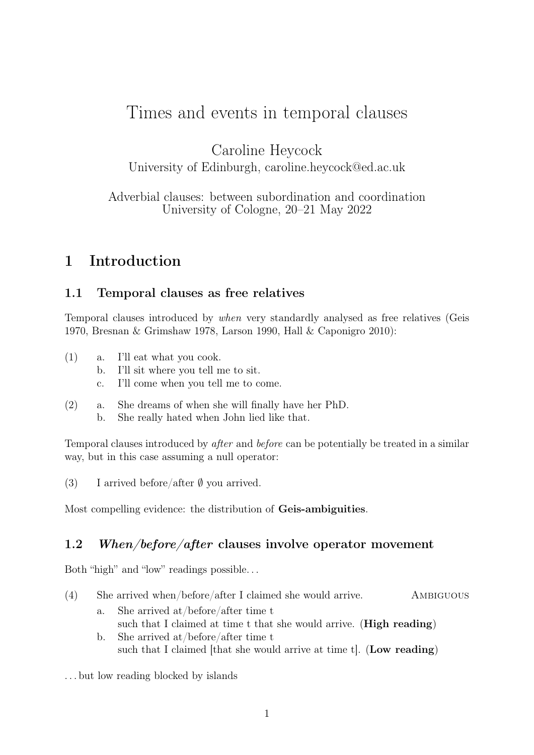# Times and events in temporal clauses

Caroline Heycock

University of Edinburgh, caroline.heycock@ed.ac.uk

Adverbial clauses: between subordination and coordination University of Cologne, 20–21 May 2022

## 1 Introduction

#### 1.1 Temporal clauses as free relatives

Temporal clauses introduced by when very standardly analysed as free relatives (Geis 1970, Bresnan & Grimshaw 1978, Larson 1990, Hall & Caponigro 2010):

- (1) a. I'll eat what you cook.
	- b. I'll sit where you tell me to sit.
	- c. I'll come when you tell me to come.
- (2) a. She dreams of when she will finally have her PhD.
	- b. She really hated when John lied like that.

Temporal clauses introduced by after and before can be potentially be treated in a similar way, but in this case assuming a null operator:

(3) I arrived before/after  $\emptyset$  you arrived.

Most compelling evidence: the distribution of Geis-ambiguities.

#### 1.2 When/before/after clauses involve operator movement

Both "high" and "low" readings possible. . .

- (4) She arrived when/before/after I claimed she would arrive. Ambiguous
	- a. She arrived at/before/after time t such that I claimed at time t that she would arrive. (**High reading**) b. She arrived at/before/after time t such that I claimed [that she would arrive at time t]. (Low reading)

. . . but low reading blocked by islands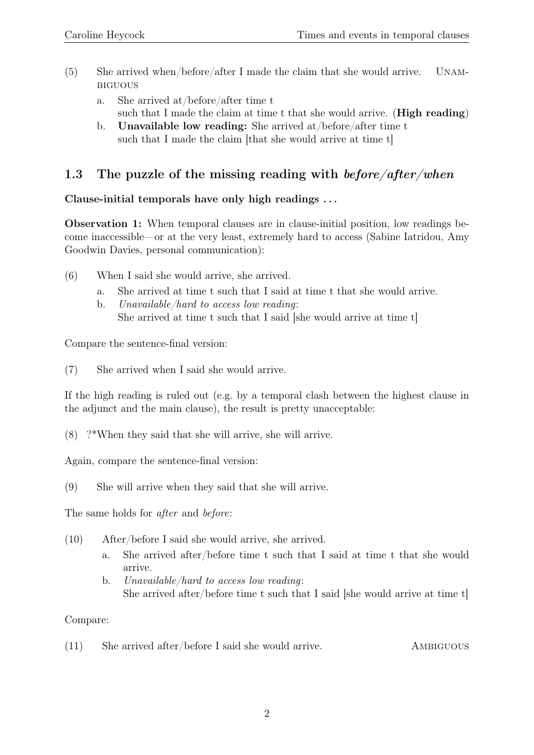- (5) She arrived when/before/after I made the claim that she would arrive. Unambiguous
	- a. She arrived at/before/after time t such that I made the claim at time t that she would arrive. (**High reading**)
	- b. Unavailable low reading: She arrived at/before/after time t such that I made the claim [that she would arrive at time t]

### 1.3 The puzzle of the missing reading with  $before/after/when$

#### Clause-initial temporals have only high readings . . .

Observation 1: When temporal clauses are in clause-initial position, low readings become inaccessible—or at the very least, extremely hard to access (Sabine Iatridou, Amy Goodwin Davies, personal communication):

- (6) When I said she would arrive, she arrived.
	- a. She arrived at time t such that I said at time t that she would arrive.
	- b. Unavailable/hard to access low reading: She arrived at time t such that I said [she would arrive at time t]

Compare the sentence-final version:

(7) She arrived when I said she would arrive.

If the high reading is ruled out (e.g. by a temporal clash between the highest clause in the adjunct and the main clause), the result is pretty unacceptable:

(8) ?\*When they said that she will arrive, she will arrive.

Again, compare the sentence-final version:

(9) She will arrive when they said that she will arrive.

The same holds for after and before:

- (10) After/before I said she would arrive, she arrived.
	- a. She arrived after/before time t such that I said at time t that she would arrive.
	- b. Unavailable/hard to access low reading: She arrived after/before time t such that I said [she would arrive at time t]

#### Compare:

(11) She arrived after/before I said she would arrive. Ambiguous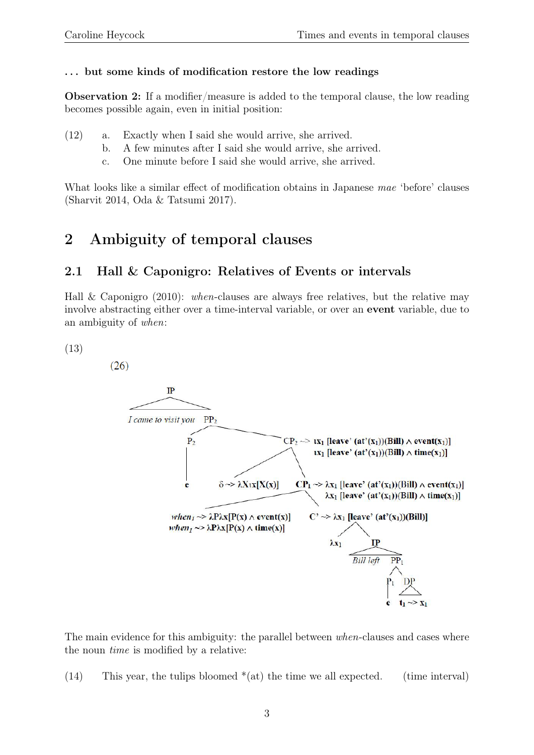#### ... but some kinds of modification restore the low readings

Observation 2: If a modifier/measure is added to the temporal clause, the low reading becomes possible again, even in initial position:

- (12) a. Exactly when I said she would arrive, she arrived.
	- b. A few minutes after I said she would arrive, she arrived.
	- c. One minute before I said she would arrive, she arrived.

What looks like a similar effect of modification obtains in Japanese mae 'before' clauses (Sharvit 2014, Oda & Tatsumi 2017).

## 2 Ambiguity of temporal clauses

### 2.1 Hall & Caponigro: Relatives of Events or intervals

Hall & Caponigro (2010): when-clauses are always free relatives, but the relative may involve abstracting either over a time-interval variable, or over an event variable, due to an ambiguity of when:

(13)

 $(26)$ 



The main evidence for this ambiguity: the parallel between *when*-clauses and cases where the noun time is modified by a relative:

(14) This year, the tulips bloomed  $*(at)$  the time we all expected. (time interval)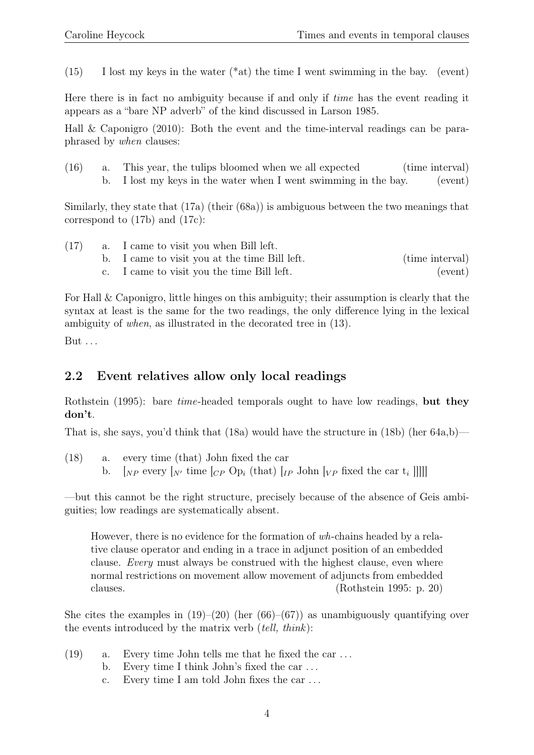$(15)$  I lost my keys in the water  $(*at)$  the time I went swimming in the bay. (event)

Here there is in fact no ambiguity because if and only if time has the event reading it appears as a "bare NP adverb" of the kind discussed in Larson 1985.

Hall & Caponigro (2010): Both the event and the time-interval readings can be paraphrased by when clauses:

(16) a. This year, the tulips bloomed when we all expected (time interval) b. I lost my keys in the water when I went swimming in the bay. (event)

Similarly, they state that (17a) (their (68a)) is ambiguous between the two meanings that correspond to (17b) and (17c):

| (17) | a. I came to visit you when Bill left.        |                 |
|------|-----------------------------------------------|-----------------|
|      | b. I came to visit you at the time Bill left. | (time interval) |

c. I came to visit you the time Bill left. (event)

For Hall & Caponigro, little hinges on this ambiguity; their assumption is clearly that the syntax at least is the same for the two readings, the only difference lying in the lexical ambiguity of when, as illustrated in the decorated tree in (13).

But . . .

### 2.2 Event relatives allow only local readings

Rothstein (1995): bare *time*-headed temporals ought to have low readings, but they don't.

That is, she says, you'd think that  $(18a)$  would have the structure in  $(18b)$  (her  $64a,b$ )—

(18) a. every time (that) John fixed the car b.  $[N_P \text{ every } [N]$  time  $[CP \text{ Op}_i \text{ (that)}]$   $[IP \text{ John } [VP \text{ fixed the car } t_i]]$ 

—but this cannot be the right structure, precisely because of the absence of Geis ambiguities; low readings are systematically absent.

However, there is no evidence for the formation of wh-chains headed by a relative clause operator and ending in a trace in adjunct position of an embedded clause. Every must always be construed with the highest clause, even where normal restrictions on movement allow movement of adjuncts from embedded clauses. (Rothstein 1995: p. 20)

She cites the examples in  $(19)$ – $(20)$  (her  $(66)$ – $(67)$ ) as unambiguously quantifying over the events introduced by the matrix verb  $(tell, think)$ :

- (19) a. Every time John tells me that he fixed the car . . .
	- b. Every time I think John's fixed the car . . .
	- c. Every time I am told John fixes the car . . .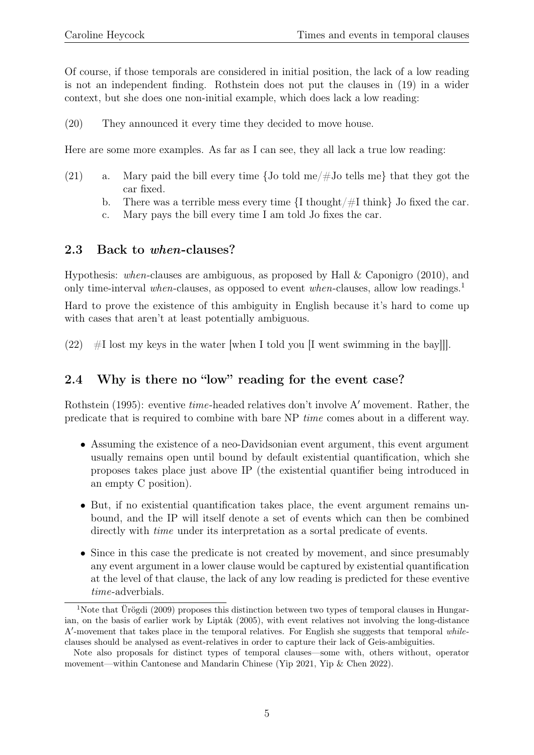Of course, if those temporals are considered in initial position, the lack of a low reading is not an independent finding. Rothstein does not put the clauses in (19) in a wider context, but she does one non-initial example, which does lack a low reading:

(20) They announced it every time they decided to move house.

Here are some more examples. As far as I can see, they all lack a true low reading:

- (21) a. Mary paid the bill every time  $\{$  Jo told me/ $\#$ Jo tells me} that they got the car fixed.
	- b. There was a terrible mess every time  $\{I \text{ thought}/\#I \text{ think}\}\$  Jo fixed the car.
	- c. Mary pays the bill every time I am told Jo fixes the car.

#### 2.3 Back to when-clauses?

Hypothesis: when-clauses are ambiguous, as proposed by Hall & Caponigro (2010), and only time-interval when-clauses, as opposed to event when-clauses, allow low readings.<sup>1</sup>

Hard to prove the existence of this ambiguity in English because it's hard to come up with cases that aren't at least potentially ambiguous.

(22)  $#I$  lost my keys in the water [when I told you [I went swimming in the bay]].

### 2.4 Why is there no "low" reading for the event case?

Rothstein (1995): eventive *time*-headed relatives don't involve A' movement. Rather, the predicate that is required to combine with bare NP time comes about in a different way.

- Assuming the existence of a neo-Davidsonian event argument, this event argument usually remains open until bound by default existential quantification, which she proposes takes place just above IP (the existential quantifier being introduced in an empty C position).
- But, if no existential quantification takes place, the event argument remains unbound, and the IP will itself denote a set of events which can then be combined directly with *time* under its interpretation as a sortal predicate of events.
- Since in this case the predicate is not created by movement, and since presumably any event argument in a lower clause would be captured by existential quantification at the level of that clause, the lack of any low reading is predicted for these eventive time-adverbials.

<sup>&</sup>lt;sup>1</sup>Note that Ürögdi (2009) proposes this distinction between two types of temporal clauses in Hungarian, on the basis of earlier work by Lipták (2005), with event relatives not involving the long-distance A'-movement that takes place in the temporal relatives. For English she suggests that temporal whileclauses should be analysed as event-relatives in order to capture their lack of Geis-ambiguities.

Note also proposals for distinct types of temporal clauses—some with, others without, operator movement—within Cantonese and Mandarin Chinese (Yip 2021, Yip & Chen 2022).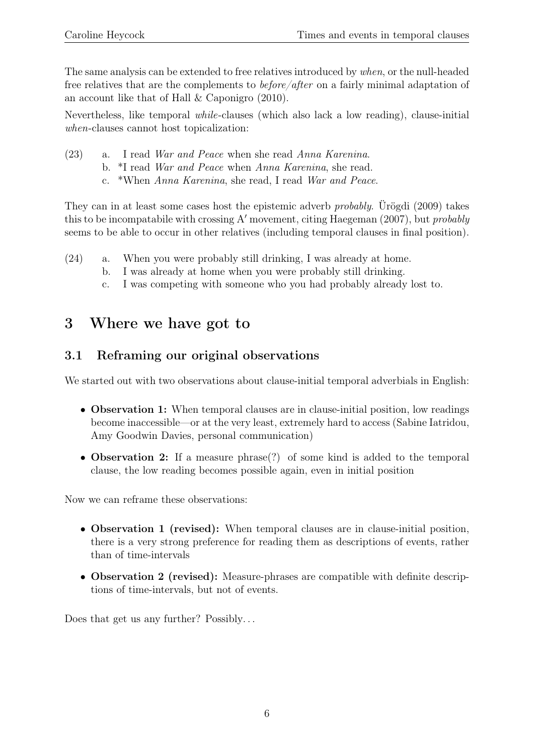The same analysis can be extended to free relatives introduced by when, or the null-headed free relatives that are the complements to before/after on a fairly minimal adaptation of an account like that of Hall & Caponigro (2010).

Nevertheless, like temporal while-clauses (which also lack a low reading), clause-initial when-clauses cannot host topicalization:

- (23) a. I read War and Peace when she read Anna Karenina.
	- b. \*I read War and Peace when Anna Karenina, she read.
		- c. \*When Anna Karenina, she read, I read War and Peace.

They can in at least some cases host the epistemic adverb probably. Ürögdi (2009) takes this to be incompatabile with crossing A' movement, citing Haegeman (2007), but *probably* seems to be able to occur in other relatives (including temporal clauses in final position).

- (24) a. When you were probably still drinking, I was already at home.
	- b. I was already at home when you were probably still drinking.
	- c. I was competing with someone who you had probably already lost to.

## 3 Where we have got to

## 3.1 Reframing our original observations

We started out with two observations about clause-initial temporal adverbials in English:

- Observation 1: When temporal clauses are in clause-initial position, low readings become inaccessible—or at the very least, extremely hard to access (Sabine Iatridou, Amy Goodwin Davies, personal communication)
- Observation 2: If a measure phrase(?) of some kind is added to the temporal clause, the low reading becomes possible again, even in initial position

Now we can reframe these observations:

- Observation 1 (revised): When temporal clauses are in clause-initial position, there is a very strong preference for reading them as descriptions of events, rather than of time-intervals
- Observation 2 (revised): Measure-phrases are compatible with definite descriptions of time-intervals, but not of events.

Does that get us any further? Possibly...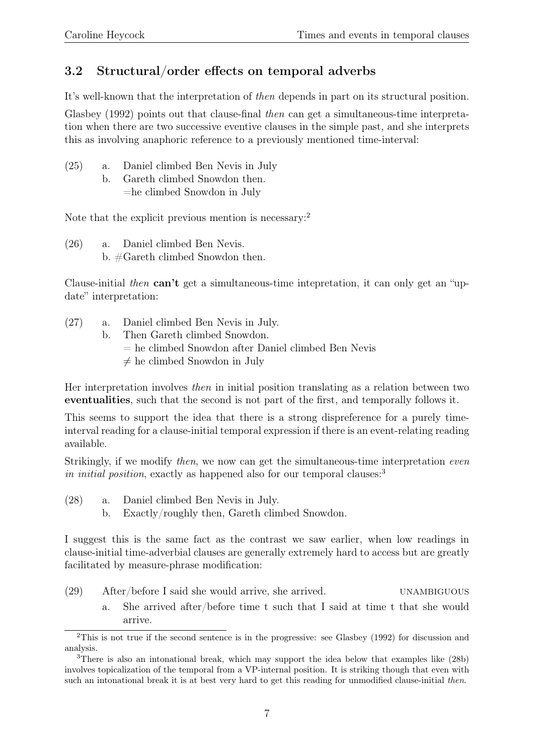## 3.2 Structural/order effects on temporal adverbs

It's well-known that the interpretation of then depends in part on its structural position.

Glasbey (1992) points out that clause-final then can get a simultaneous-time interpretation when there are two successive eventive clauses in the simple past, and she interprets this as involving anaphoric reference to a previously mentioned time-interval:

- (25) a. Daniel climbed Ben Nevis in July
	- b. Gareth climbed Snowdon then. =he climbed Snowdon in July

Note that the explicit previous mention is necessary:<sup>2</sup>

(26) a. Daniel climbed Ben Nevis. b. #Gareth climbed Snowdon then.

Clause-initial then can't get a simultaneous-time intepretation, it can only get an "update" interpretation:

- (27) a. Daniel climbed Ben Nevis in July.
	- b. Then Gareth climbed Snowdon.
		- = he climbed Snowdon after Daniel climbed Ben Nevis
		- $\neq$  he climbed Snowdon in July

Her interpretation involves then in initial position translating as a relation between two eventualities, such that the second is not part of the first, and temporally follows it.

This seems to support the idea that there is a strong dispreference for a purely timeinterval reading for a clause-initial temporal expression if there is an event-relating reading available.

Strikingly, if we modify then, we now can get the simultaneous-time interpretation even in initial position, exactly as happened also for our temporal clauses:<sup>3</sup>

- (28) a. Daniel climbed Ben Nevis in July.
	- b. Exactly/roughly then, Gareth climbed Snowdon.

I suggest this is the same fact as the contrast we saw earlier, when low readings in clause-initial time-adverbial clauses are generally extremely hard to access but are greatly facilitated by measure-phrase modification:

- (29) After/before I said she would arrive, she arrived. unambiguous
	- a. She arrived after/before time t such that I said at time t that she would arrive.

<sup>&</sup>lt;sup>2</sup>This is not true if the second sentence is in the progressive: see Glasbey (1992) for discussion and analysis.

<sup>3</sup>There is also an intonational break, which may support the idea below that examples like (28b) involves topicalization of the temporal from a VP-internal position. It is striking though that even with such an intonational break it is at best very hard to get this reading for unmodified clause-initial then.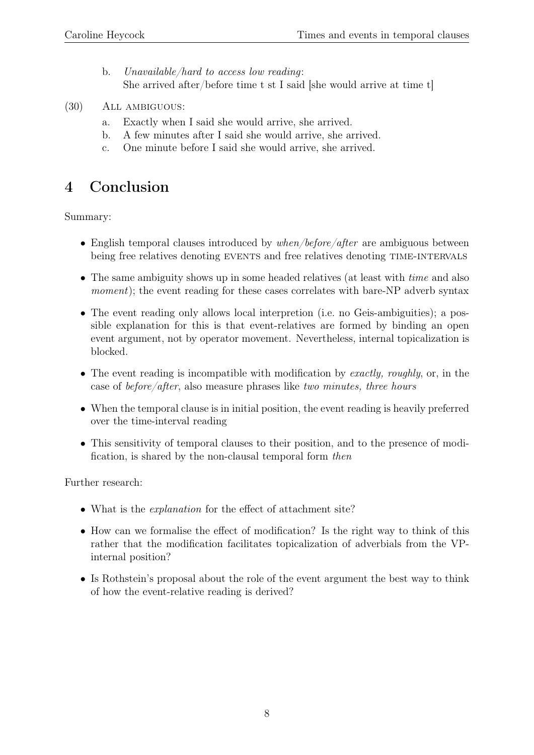- b. Unavailable/hard to access low reading: She arrived after/before time t st I said [she would arrive at time t]
- (30) All ambiguous:
	- a. Exactly when I said she would arrive, she arrived.
	- b. A few minutes after I said she would arrive, she arrived.
	- c. One minute before I said she would arrive, she arrived.

## 4 Conclusion

Summary:

- English temporal clauses introduced by  $when/before/after$  are ambiguous between being free relatives denoting EVENTS and free relatives denoting TIME-INTERVALS
- The same ambiguity shows up in some headed relatives (at least with *time* and also moment); the event reading for these cases correlates with bare-NP adverb syntax
- The event reading only allows local interpretion (i.e. no Geis-ambiguities); a possible explanation for this is that event-relatives are formed by binding an open event argument, not by operator movement. Nevertheless, internal topicalization is blocked.
- The event reading is incompatible with modification by exactly, roughly, or, in the case of before/after, also measure phrases like two minutes, three hours
- When the temporal clause is in initial position, the event reading is heavily preferred over the time-interval reading
- This sensitivity of temporal clauses to their position, and to the presence of modification, is shared by the non-clausal temporal form then

Further research:

- What is the *explanation* for the effect of attachment site?
- How can we formalise the effect of modification? Is the right way to think of this rather that the modification facilitates topicalization of adverbials from the VPinternal position?
- Is Rothstein's proposal about the role of the event argument the best way to think of how the event-relative reading is derived?